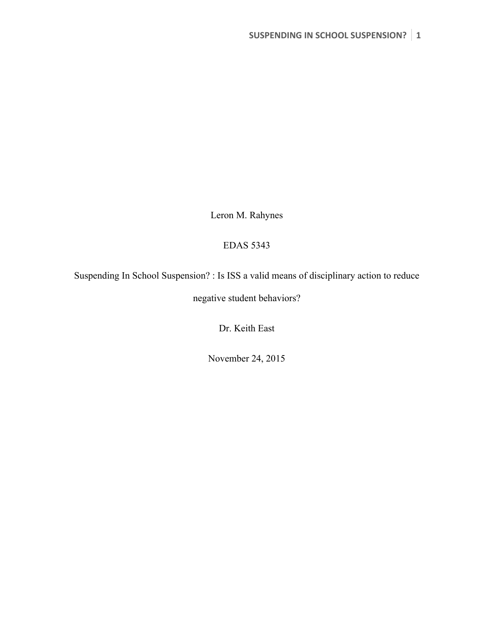Leron M. Rahynes

## EDAS 5343

Suspending In School Suspension? : Is ISS a valid means of disciplinary action to reduce

negative student behaviors?

Dr. Keith East

November 24, 2015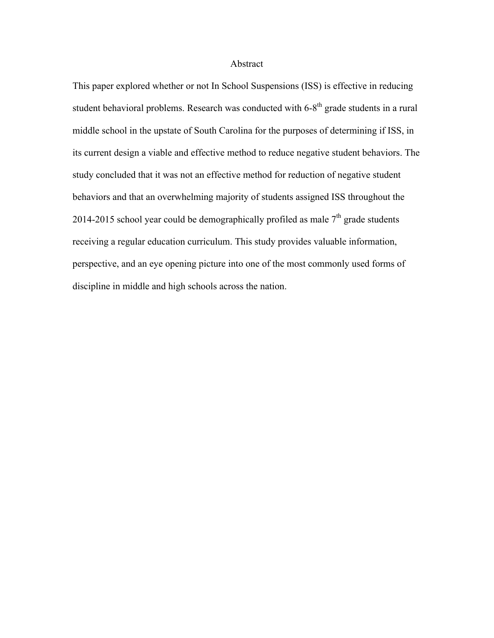#### Abstract

This paper explored whether or not In School Suspensions (ISS) is effective in reducing student behavioral problems. Research was conducted with  $6-8<sup>th</sup>$  grade students in a rural middle school in the upstate of South Carolina for the purposes of determining if ISS, in its current design a viable and effective method to reduce negative student behaviors. The study concluded that it was not an effective method for reduction of negative student behaviors and that an overwhelming majority of students assigned ISS throughout the 2014-2015 school year could be demographically profiled as male  $7<sup>th</sup>$  grade students receiving a regular education curriculum. This study provides valuable information, perspective, and an eye opening picture into one of the most commonly used forms of discipline in middle and high schools across the nation.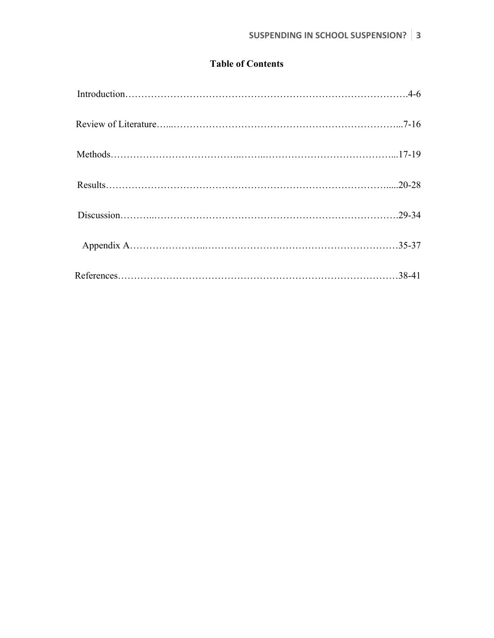## **Table of Contents**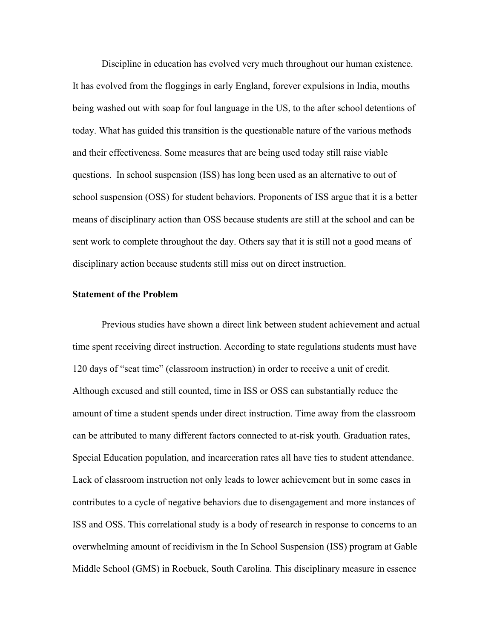Discipline in education has evolved very much throughout our human existence. It has evolved from the floggings in early England, forever expulsions in India, mouths being washed out with soap for foul language in the US, to the after school detentions of today. What has guided this transition is the questionable nature of the various methods and their effectiveness. Some measures that are being used today still raise viable questions. In school suspension (ISS) has long been used as an alternative to out of school suspension (OSS) for student behaviors. Proponents of ISS argue that it is a better means of disciplinary action than OSS because students are still at the school and can be sent work to complete throughout the day. Others say that it is still not a good means of disciplinary action because students still miss out on direct instruction.

## **Statement of the Problem**

Previous studies have shown a direct link between student achievement and actual time spent receiving direct instruction. According to state regulations students must have 120 days of "seat time" (classroom instruction) in order to receive a unit of credit. Although excused and still counted, time in ISS or OSS can substantially reduce the amount of time a student spends under direct instruction. Time away from the classroom can be attributed to many different factors connected to at-risk youth. Graduation rates, Special Education population, and incarceration rates all have ties to student attendance. Lack of classroom instruction not only leads to lower achievement but in some cases in contributes to a cycle of negative behaviors due to disengagement and more instances of ISS and OSS. This correlational study is a body of research in response to concerns to an overwhelming amount of recidivism in the In School Suspension (ISS) program at Gable Middle School (GMS) in Roebuck, South Carolina. This disciplinary measure in essence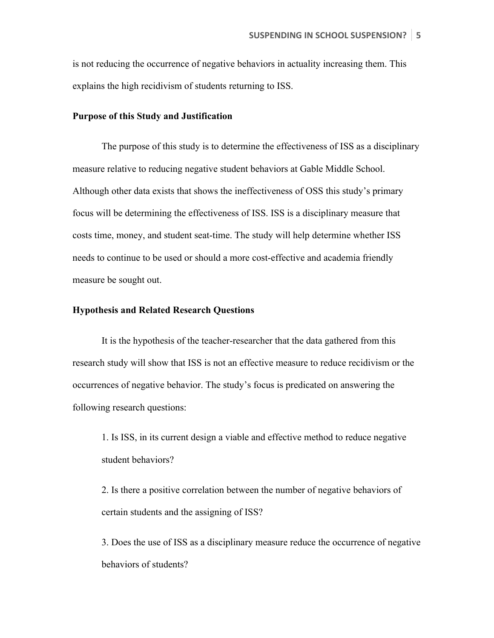is not reducing the occurrence of negative behaviors in actuality increasing them. This explains the high recidivism of students returning to ISS.

### **Purpose of this Study and Justification**

The purpose of this study is to determine the effectiveness of ISS as a disciplinary measure relative to reducing negative student behaviors at Gable Middle School. Although other data exists that shows the ineffectiveness of OSS this study's primary focus will be determining the effectiveness of ISS. ISS is a disciplinary measure that costs time, money, and student seat-time. The study will help determine whether ISS needs to continue to be used or should a more cost-effective and academia friendly measure be sought out.

## **Hypothesis and Related Research Questions**

It is the hypothesis of the teacher-researcher that the data gathered from this research study will show that ISS is not an effective measure to reduce recidivism or the occurrences of negative behavior. The study's focus is predicated on answering the following research questions:

1. Is ISS, in its current design a viable and effective method to reduce negative student behaviors?

2. Is there a positive correlation between the number of negative behaviors of certain students and the assigning of ISS?

3. Does the use of ISS as a disciplinary measure reduce the occurrence of negative behaviors of students?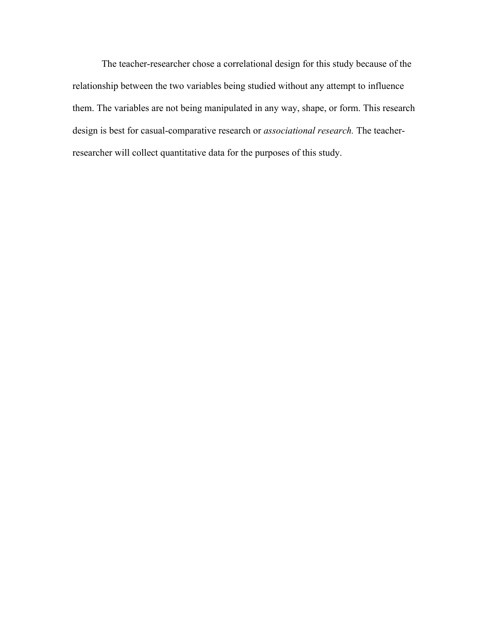The teacher-researcher chose a correlational design for this study because of the relationship between the two variables being studied without any attempt to influence them. The variables are not being manipulated in any way, shape, or form. This research design is best for casual-comparative research or *associational research.* The teacherresearcher will collect quantitative data for the purposes of this study.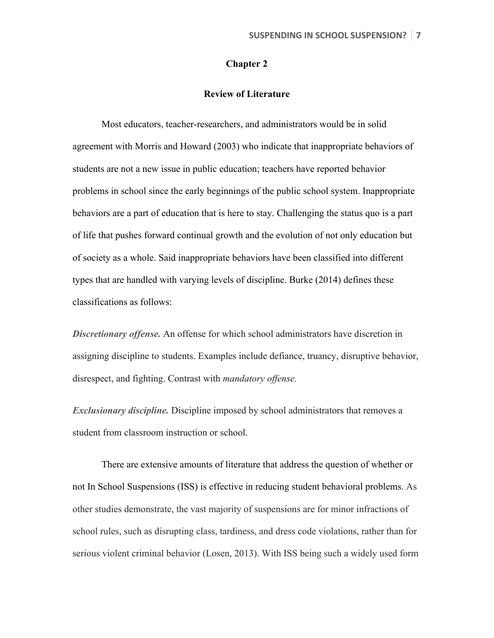## **Chapter 2**

## **Review of Literature**

Most educators, teacher-researchers, and administrators would be in solid agreement with Morris and Howard (2003) who indicate that inappropriate behaviors of students are not a new issue in public education; teachers have reported behavior problems in school since the early beginnings of the public school system. Inappropriate behaviors are a part of education that is here to stay. Challenging the status quo is a part of life that pushes forward continual growth and the evolution of not only education but of society as a whole. Said inappropriate behaviors have been classified into different types that are handled with varying levels of discipline. Burke (2014) defines these classifications as follows:

*Discretionary offense.* An offense for which school administrators have discretion in assigning discipline to students. Examples include defiance, truancy, disruptive behavior, disrespect, and fighting. Contrast with *mandatory offense.* 

*Exclusionary discipline.* Discipline imposed by school administrators that removes a student from classroom instruction or school.

There are extensive amounts of literature that address the question of whether or not In School Suspensions (ISS) is effective in reducing student behavioral problems. As other studies demonstrate, the vast majority of suspensions are for minor infractions of school rules, such as disrupting class, tardiness, and dress code violations, rather than for serious violent criminal behavior (Losen, 2013). With ISS being such a widely used form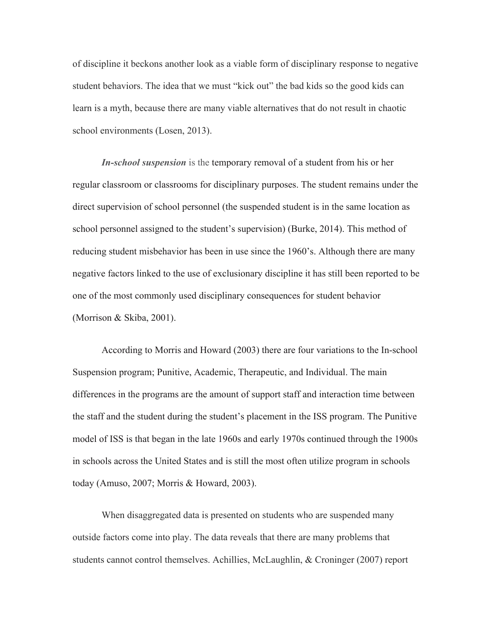of discipline it beckons another look as a viable form of disciplinary response to negative student behaviors. The idea that we must "kick out" the bad kids so the good kids can learn is a myth, because there are many viable alternatives that do not result in chaotic school environments (Losen, 2013).

*In-school suspension* is the temporary removal of a student from his or her regular classroom or classrooms for disciplinary purposes. The student remains under the direct supervision of school personnel (the suspended student is in the same location as school personnel assigned to the student's supervision) (Burke, 2014). This method of reducing student misbehavior has been in use since the 1960's. Although there are many negative factors linked to the use of exclusionary discipline it has still been reported to be one of the most commonly used disciplinary consequences for student behavior (Morrison & Skiba, 2001).

According to Morris and Howard (2003) there are four variations to the In-school Suspension program; Punitive, Academic, Therapeutic, and Individual. The main differences in the programs are the amount of support staff and interaction time between the staff and the student during the student's placement in the ISS program. The Punitive model of ISS is that began in the late 1960s and early 1970s continued through the 1900s in schools across the United States and is still the most often utilize program in schools today (Amuso, 2007; Morris & Howard, 2003).

When disaggregated data is presented on students who are suspended many outside factors come into play. The data reveals that there are many problems that students cannot control themselves. Achillies, McLaughlin, & Croninger (2007) report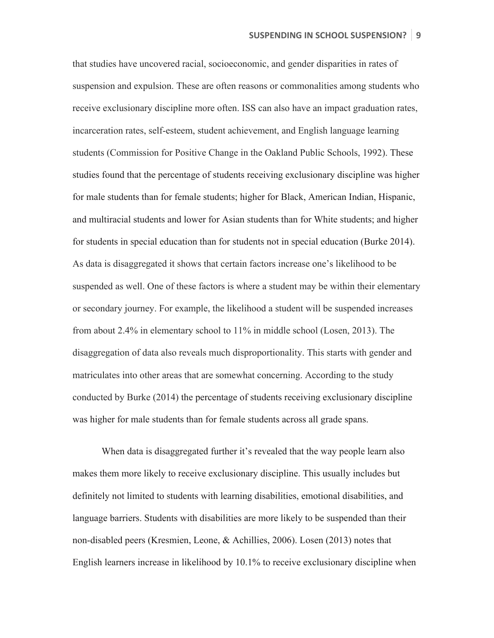that studies have uncovered racial, socioeconomic, and gender disparities in rates of suspension and expulsion. These are often reasons or commonalities among students who receive exclusionary discipline more often. ISS can also have an impact graduation rates, incarceration rates, self-esteem, student achievement, and English language learning students (Commission for Positive Change in the Oakland Public Schools, 1992). These studies found that the percentage of students receiving exclusionary discipline was higher for male students than for female students; higher for Black, American Indian, Hispanic, and multiracial students and lower for Asian students than for White students; and higher for students in special education than for students not in special education (Burke 2014). As data is disaggregated it shows that certain factors increase one's likelihood to be suspended as well. One of these factors is where a student may be within their elementary or secondary journey. For example, the likelihood a student will be suspended increases from about 2.4% in elementary school to 11% in middle school (Losen, 2013). The disaggregation of data also reveals much disproportionality. This starts with gender and matriculates into other areas that are somewhat concerning. According to the study conducted by Burke (2014) the percentage of students receiving exclusionary discipline was higher for male students than for female students across all grade spans.

When data is disaggregated further it's revealed that the way people learn also makes them more likely to receive exclusionary discipline. This usually includes but definitely not limited to students with learning disabilities, emotional disabilities, and language barriers. Students with disabilities are more likely to be suspended than their non-disabled peers (Kresmien, Leone, & Achillies, 2006). Losen (2013) notes that English learners increase in likelihood by 10.1% to receive exclusionary discipline when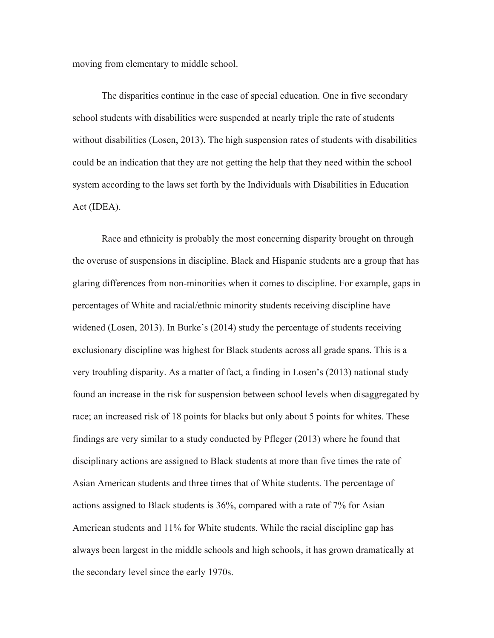moving from elementary to middle school.

The disparities continue in the case of special education. One in five secondary school students with disabilities were suspended at nearly triple the rate of students without disabilities (Losen, 2013). The high suspension rates of students with disabilities could be an indication that they are not getting the help that they need within the school system according to the laws set forth by the Individuals with Disabilities in Education Act (IDEA).

Race and ethnicity is probably the most concerning disparity brought on through the overuse of suspensions in discipline. Black and Hispanic students are a group that has glaring differences from non-minorities when it comes to discipline. For example, gaps in percentages of White and racial/ethnic minority students receiving discipline have widened (Losen, 2013). In Burke's (2014) study the percentage of students receiving exclusionary discipline was highest for Black students across all grade spans. This is a very troubling disparity. As a matter of fact, a finding in Losen's (2013) national study found an increase in the risk for suspension between school levels when disaggregated by race; an increased risk of 18 points for blacks but only about 5 points for whites. These findings are very similar to a study conducted by Pfleger (2013) where he found that disciplinary actions are assigned to Black students at more than five times the rate of Asian American students and three times that of White students. The percentage of actions assigned to Black students is 36%, compared with a rate of 7% for Asian American students and 11% for White students. While the racial discipline gap has always been largest in the middle schools and high schools, it has grown dramatically at the secondary level since the early 1970s.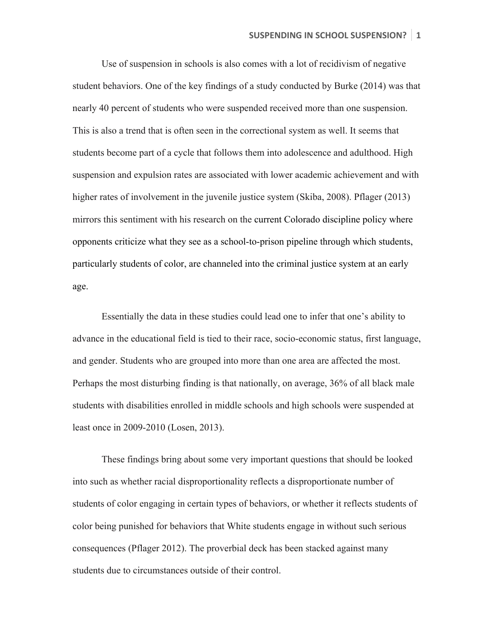Use of suspension in schools is also comes with a lot of recidivism of negative student behaviors. One of the key findings of a study conducted by Burke (2014) was that nearly 40 percent of students who were suspended received more than one suspension. This is also a trend that is often seen in the correctional system as well. It seems that students become part of a cycle that follows them into adolescence and adulthood. High suspension and expulsion rates are associated with lower academic achievement and with higher rates of involvement in the juvenile justice system (Skiba, 2008). Pflager (2013) mirrors this sentiment with his research on the current Colorado discipline policy where opponents criticize what they see as a school-to-prison pipeline through which students, particularly students of color, are channeled into the criminal justice system at an early age.

Essentially the data in these studies could lead one to infer that one's ability to advance in the educational field is tied to their race, socio-economic status, first language, and gender. Students who are grouped into more than one area are affected the most. Perhaps the most disturbing finding is that nationally, on average, 36% of all black male students with disabilities enrolled in middle schools and high schools were suspended at least once in 2009-2010 (Losen, 2013).

These findings bring about some very important questions that should be looked into such as whether racial disproportionality reflects a disproportionate number of students of color engaging in certain types of behaviors, or whether it reflects students of color being punished for behaviors that White students engage in without such serious consequences (Pflager 2012). The proverbial deck has been stacked against many students due to circumstances outside of their control.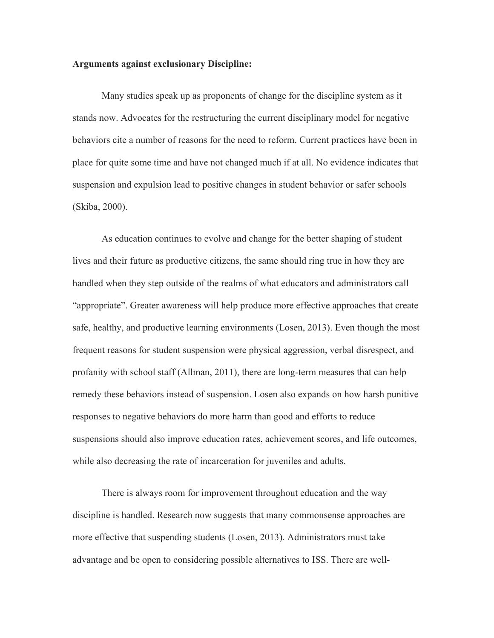## **Arguments against exclusionary Discipline:**

Many studies speak up as proponents of change for the discipline system as it stands now. Advocates for the restructuring the current disciplinary model for negative behaviors cite a number of reasons for the need to reform. Current practices have been in place for quite some time and have not changed much if at all. No evidence indicates that suspension and expulsion lead to positive changes in student behavior or safer schools (Skiba, 2000).

As education continues to evolve and change for the better shaping of student lives and their future as productive citizens, the same should ring true in how they are handled when they step outside of the realms of what educators and administrators call "appropriate". Greater awareness will help produce more effective approaches that create safe, healthy, and productive learning environments (Losen, 2013). Even though the most frequent reasons for student suspension were physical aggression, verbal disrespect, and profanity with school staff (Allman, 2011), there are long-term measures that can help remedy these behaviors instead of suspension. Losen also expands on how harsh punitive responses to negative behaviors do more harm than good and efforts to reduce suspensions should also improve education rates, achievement scores, and life outcomes, while also decreasing the rate of incarceration for juveniles and adults.

There is always room for improvement throughout education and the way discipline is handled. Research now suggests that many commonsense approaches are more effective that suspending students (Losen, 2013). Administrators must take advantage and be open to considering possible alternatives to ISS. There are well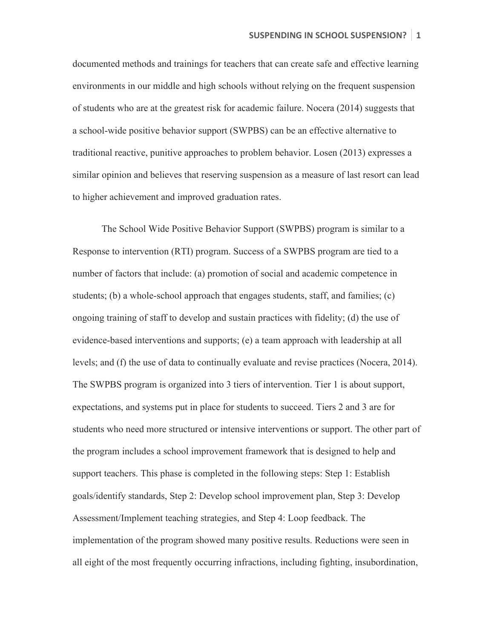documented methods and trainings for teachers that can create safe and effective learning environments in our middle and high schools without relying on the frequent suspension of students who are at the greatest risk for academic failure. Nocera (2014) suggests that a school-wide positive behavior support (SWPBS) can be an effective alternative to traditional reactive, punitive approaches to problem behavior. Losen (2013) expresses a similar opinion and believes that reserving suspension as a measure of last resort can lead to higher achievement and improved graduation rates.

The School Wide Positive Behavior Support (SWPBS) program is similar to a Response to intervention (RTI) program. Success of a SWPBS program are tied to a number of factors that include: (a) promotion of social and academic competence in students; (b) a whole-school approach that engages students, staff, and families; (c) ongoing training of staff to develop and sustain practices with fidelity; (d) the use of evidence-based interventions and supports; (e) a team approach with leadership at all levels; and (f) the use of data to continually evaluate and revise practices (Nocera, 2014). The SWPBS program is organized into 3 tiers of intervention. Tier 1 is about support, expectations, and systems put in place for students to succeed. Tiers 2 and 3 are for students who need more structured or intensive interventions or support. The other part of the program includes a school improvement framework that is designed to help and support teachers. This phase is completed in the following steps: Step 1: Establish goals/identify standards, Step 2: Develop school improvement plan, Step 3: Develop Assessment/Implement teaching strategies, and Step 4: Loop feedback. The implementation of the program showed many positive results. Reductions were seen in all eight of the most frequently occurring infractions, including fighting, insubordination,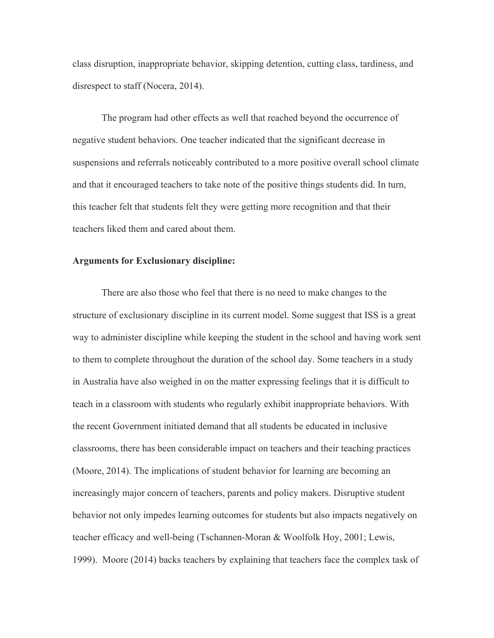class disruption, inappropriate behavior, skipping detention, cutting class, tardiness, and disrespect to staff (Nocera, 2014).

The program had other effects as well that reached beyond the occurrence of negative student behaviors. One teacher indicated that the significant decrease in suspensions and referrals noticeably contributed to a more positive overall school climate and that it encouraged teachers to take note of the positive things students did. In turn, this teacher felt that students felt they were getting more recognition and that their teachers liked them and cared about them.

## **Arguments for Exclusionary discipline:**

There are also those who feel that there is no need to make changes to the structure of exclusionary discipline in its current model. Some suggest that ISS is a great way to administer discipline while keeping the student in the school and having work sent to them to complete throughout the duration of the school day. Some teachers in a study in Australia have also weighed in on the matter expressing feelings that it is difficult to teach in a classroom with students who regularly exhibit inappropriate behaviors. With the recent Government initiated demand that all students be educated in inclusive classrooms, there has been considerable impact on teachers and their teaching practices (Moore, 2014). The implications of student behavior for learning are becoming an increasingly major concern of teachers, parents and policy makers. Disruptive student behavior not only impedes learning outcomes for students but also impacts negatively on teacher efficacy and well-being (Tschannen-Moran & Woolfolk Hoy, 2001; Lewis, 1999). Moore (2014) backs teachers by explaining that teachers face the complex task of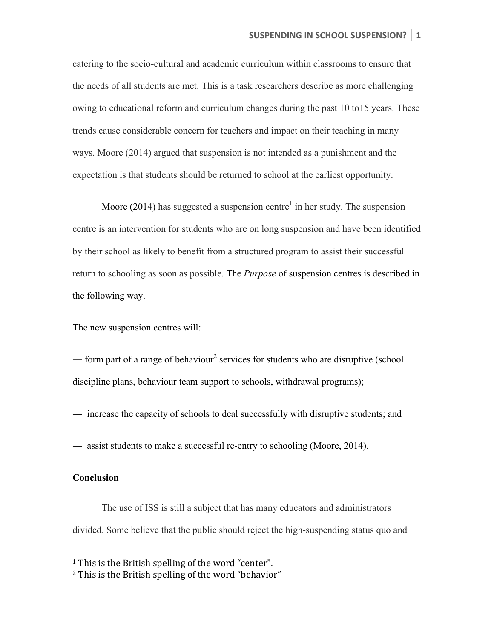catering to the socio-cultural and academic curriculum within classrooms to ensure that the needs of all students are met. This is a task researchers describe as more challenging owing to educational reform and curriculum changes during the past 10 to15 years. These trends cause considerable concern for teachers and impact on their teaching in many ways. Moore (2014) argued that suspension is not intended as a punishment and the expectation is that students should be returned to school at the earliest opportunity.

Moore (2014) has suggested a suspension centre<sup>1</sup> in her study. The suspension centre is an intervention for students who are on long suspension and have been identified by their school as likely to benefit from a structured program to assist their successful return to schooling as soon as possible. The *Purpose* of suspension centres is described in the following way.

The new suspension centres will:

— form part of a range of behaviour<sup>2</sup> services for students who are disruptive (school discipline plans, behaviour team support to schools, withdrawal programs);

- ― increase the capacity of schools to deal successfully with disruptive students; and
- ― assist students to make a successful re-entry to schooling (Moore, 2014).

## **Conclusion**

The use of ISS is still a subject that has many educators and administrators divided. Some believe that the public should reject the high-suspending status quo and

 

 $1$  This is the British spelling of the word "center".

 $2$  This is the British spelling of the word "behavior"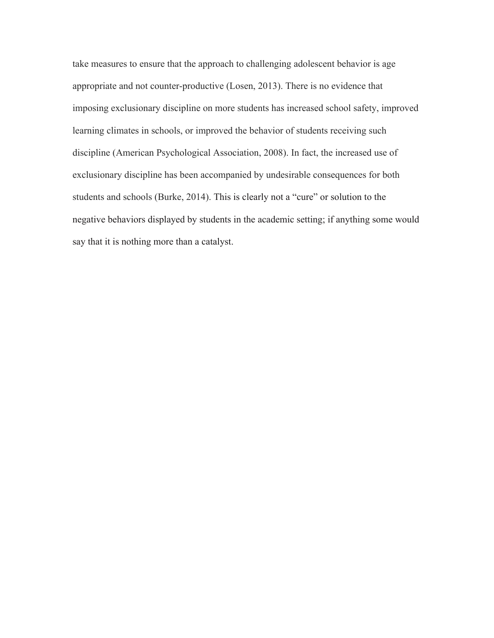take measures to ensure that the approach to challenging adolescent behavior is age appropriate and not counter-productive (Losen, 2013). There is no evidence that imposing exclusionary discipline on more students has increased school safety, improved learning climates in schools, or improved the behavior of students receiving such discipline (American Psychological Association, 2008). In fact, the increased use of exclusionary discipline has been accompanied by undesirable consequences for both students and schools (Burke, 2014). This is clearly not a "cure" or solution to the negative behaviors displayed by students in the academic setting; if anything some would say that it is nothing more than a catalyst.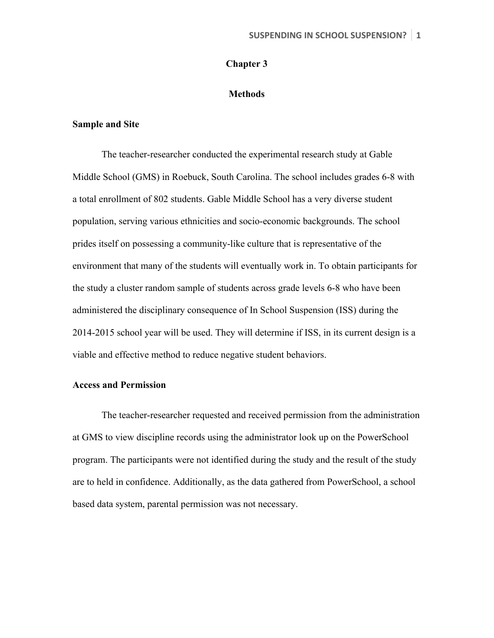## **Chapter 3**

## **Methods**

## **Sample and Site**

The teacher-researcher conducted the experimental research study at Gable Middle School (GMS) in Roebuck, South Carolina. The school includes grades 6-8 with a total enrollment of 802 students. Gable Middle School has a very diverse student population, serving various ethnicities and socio-economic backgrounds. The school prides itself on possessing a community-like culture that is representative of the environment that many of the students will eventually work in. To obtain participants for the study a cluster random sample of students across grade levels 6-8 who have been administered the disciplinary consequence of In School Suspension (ISS) during the 2014-2015 school year will be used. They will determine if ISS, in its current design is a viable and effective method to reduce negative student behaviors.

## **Access and Permission**

The teacher-researcher requested and received permission from the administration at GMS to view discipline records using the administrator look up on the PowerSchool program. The participants were not identified during the study and the result of the study are to held in confidence. Additionally, as the data gathered from PowerSchool, a school based data system, parental permission was not necessary.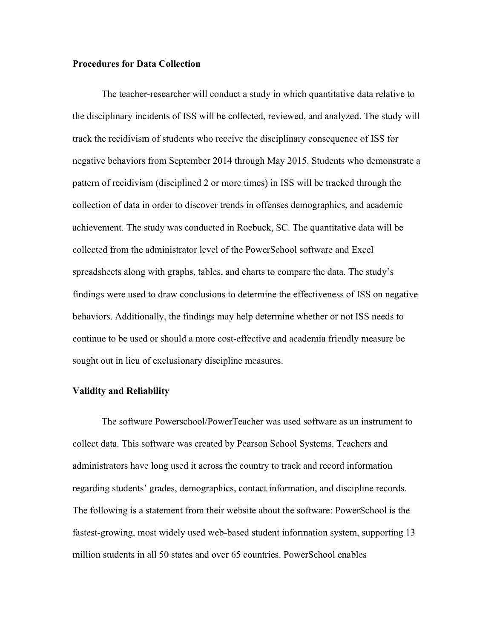## **Procedures for Data Collection**

The teacher-researcher will conduct a study in which quantitative data relative to the disciplinary incidents of ISS will be collected, reviewed, and analyzed. The study will track the recidivism of students who receive the disciplinary consequence of ISS for negative behaviors from September 2014 through May 2015. Students who demonstrate a pattern of recidivism (disciplined 2 or more times) in ISS will be tracked through the collection of data in order to discover trends in offenses demographics, and academic achievement. The study was conducted in Roebuck, SC. The quantitative data will be collected from the administrator level of the PowerSchool software and Excel spreadsheets along with graphs, tables, and charts to compare the data. The study's findings were used to draw conclusions to determine the effectiveness of ISS on negative behaviors. Additionally, the findings may help determine whether or not ISS needs to continue to be used or should a more cost-effective and academia friendly measure be sought out in lieu of exclusionary discipline measures.

## **Validity and Reliability**

The software Powerschool/PowerTeacher was used software as an instrument to collect data. This software was created by Pearson School Systems. Teachers and administrators have long used it across the country to track and record information regarding students' grades, demographics, contact information, and discipline records. The following is a statement from their website about the software: PowerSchool is the fastest-growing, most widely used web-based student information system, supporting 13 million students in all 50 states and over 65 countries. PowerSchool enables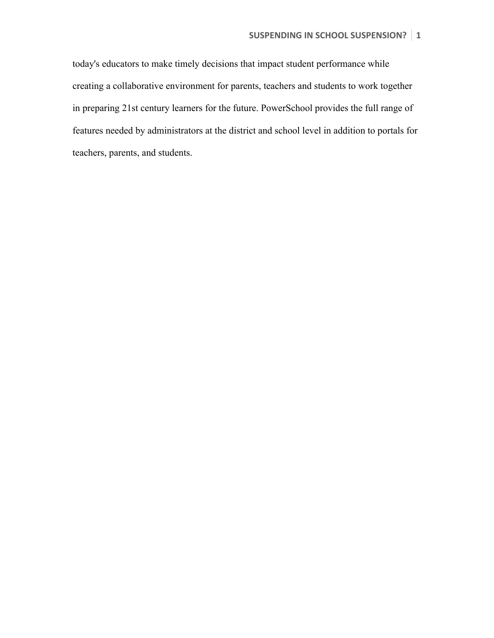today's educators to make timely decisions that impact student performance while creating a collaborative environment for parents, teachers and students to work together in preparing 21st century learners for the future. PowerSchool provides the full range of features needed by administrators at the district and school level in addition to portals for teachers, parents, and students.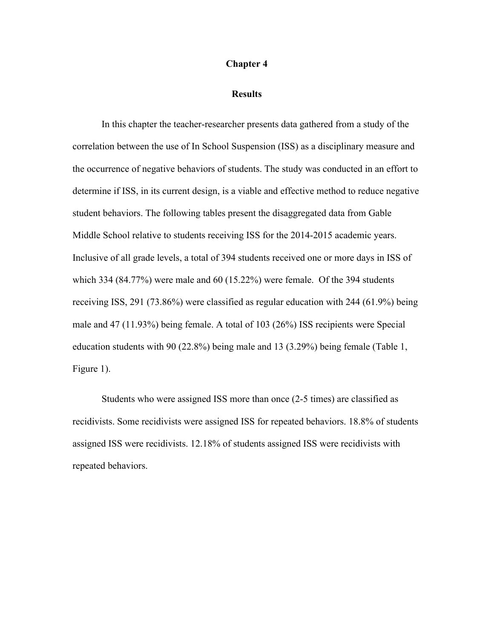#### **Chapter 4**

#### **Results**

In this chapter the teacher-researcher presents data gathered from a study of the correlation between the use of In School Suspension (ISS) as a disciplinary measure and the occurrence of negative behaviors of students. The study was conducted in an effort to determine if ISS, in its current design, is a viable and effective method to reduce negative student behaviors. The following tables present the disaggregated data from Gable Middle School relative to students receiving ISS for the 2014-2015 academic years. Inclusive of all grade levels, a total of 394 students received one or more days in ISS of which 334 (84.77%) were male and 60 (15.22%) were female. Of the 394 students receiving ISS, 291 (73.86%) were classified as regular education with 244 (61.9%) being male and 47 (11.93%) being female. A total of 103 (26%) ISS recipients were Special education students with 90 (22.8%) being male and 13 (3.29%) being female (Table 1, Figure 1).

Students who were assigned ISS more than once (2-5 times) are classified as recidivists. Some recidivists were assigned ISS for repeated behaviors. 18.8% of students assigned ISS were recidivists. 12.18% of students assigned ISS were recidivists with repeated behaviors.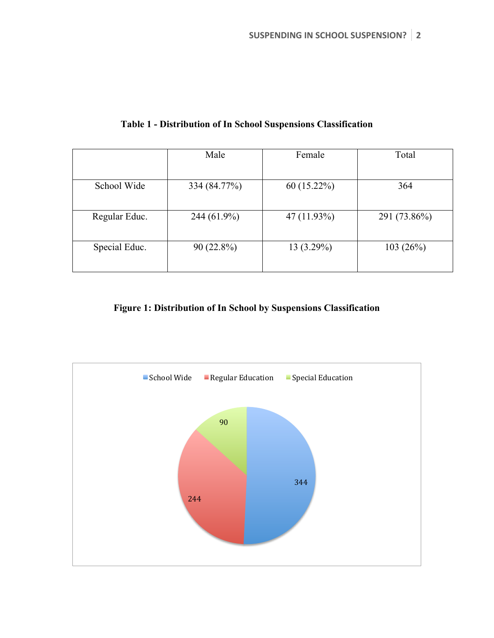|               | Male         | Female        | Total        |
|---------------|--------------|---------------|--------------|
| School Wide   | 334 (84.77%) | $60(15.22\%)$ | 364          |
| Regular Educ. | 244 (61.9%)  | 47 (11.93%)   | 291 (73.86%) |
| Special Educ. | $90(22.8\%)$ | 13(3.29%)     | 103(26%)     |

## **Table 1 - Distribution of In School Suspensions Classification**

## **Figure 1: Distribution of In School by Suspensions Classification**

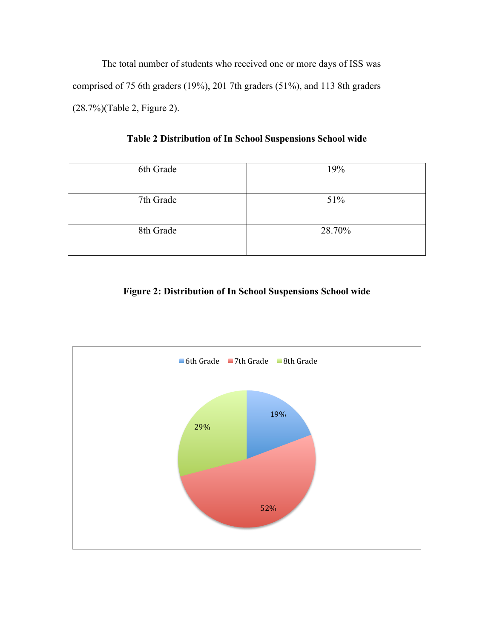The total number of students who received one or more days of ISS was comprised of 75 6th graders (19%), 201 7th graders (51%), and 113 8th graders (28.7%)(Table 2, Figure 2).

**Table 2 Distribution of In School Suspensions School wide**

| 6th Grade | 19%    |
|-----------|--------|
| 7th Grade | 51%    |
| 8th Grade | 28.70% |

## **Figure 2: Distribution of In School Suspensions School wide**

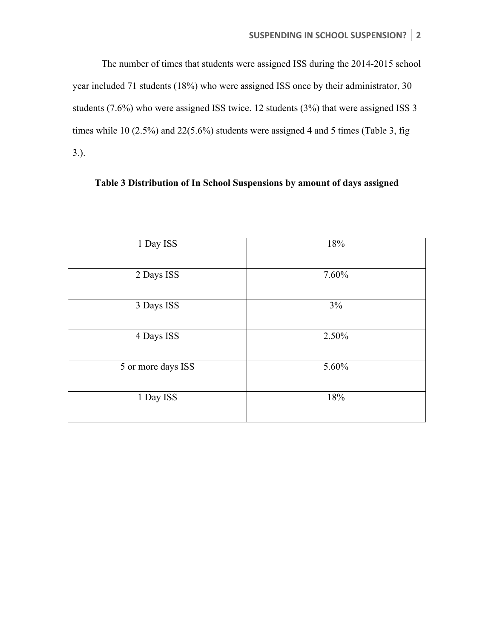The number of times that students were assigned ISS during the 2014-2015 school year included 71 students (18%) who were assigned ISS once by their administrator, 30 students (7.6%) who were assigned ISS twice. 12 students (3%) that were assigned ISS 3 times while 10 (2.5%) and 22(5.6%) students were assigned 4 and 5 times (Table 3, fig 3.).

## **Table 3 Distribution of In School Suspensions by amount of days assigned**

| 1 Day ISS          | 18%   |
|--------------------|-------|
| 2 Days ISS         | 7.60% |
| 3 Days ISS         | $3\%$ |
| 4 Days ISS         | 2.50% |
| 5 or more days ISS | 5.60% |
| 1 Day ISS          | 18%   |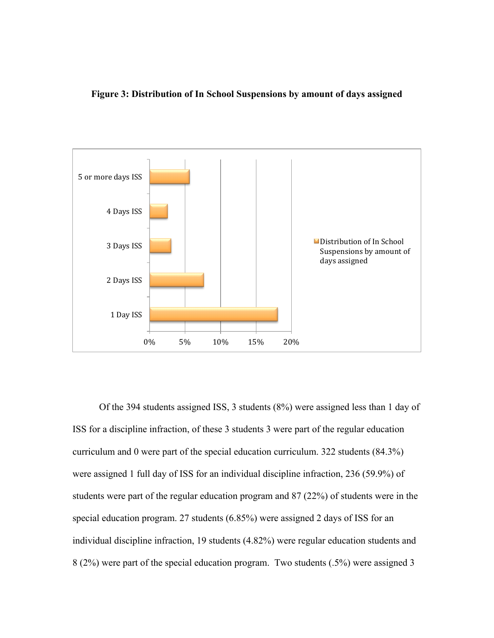## **Figure 3: Distribution of In School Suspensions by amount of days assigned**



 Of the 394 students assigned ISS, 3 students (8%) were assigned less than 1 day of ISS for a discipline infraction, of these 3 students 3 were part of the regular education curriculum and 0 were part of the special education curriculum. 322 students (84.3%) were assigned 1 full day of ISS for an individual discipline infraction, 236 (59.9%) of students were part of the regular education program and 87 (22%) of students were in the special education program. 27 students (6.85%) were assigned 2 days of ISS for an individual discipline infraction, 19 students (4.82%) were regular education students and 8 (2%) were part of the special education program. Two students (.5%) were assigned 3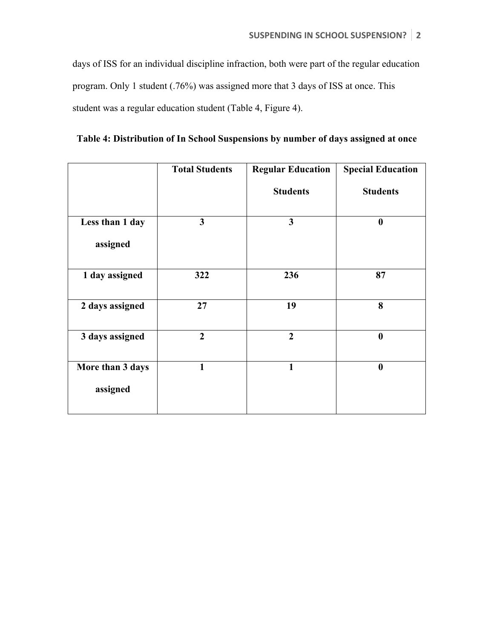days of ISS for an individual discipline infraction, both were part of the regular education program. Only 1 student (.76%) was assigned more that 3 days of ISS at once. This student was a regular education student (Table 4, Figure 4).

|                  | <b>Total Students</b> | <b>Regular Education</b> | <b>Special Education</b> |
|------------------|-----------------------|--------------------------|--------------------------|
|                  |                       | <b>Students</b>          | <b>Students</b>          |
| Less than 1 day  | $\mathbf{3}$          | $\mathbf{3}$             | $\boldsymbol{0}$         |
| assigned         |                       |                          |                          |
| 1 day assigned   | 322                   | 236                      | 87                       |
| 2 days assigned  | 27                    | 19                       | 8                        |
| 3 days assigned  | $\overline{2}$        | $\overline{2}$           | $\boldsymbol{0}$         |
| More than 3 days | $\mathbf{1}$          | $\mathbf{1}$             | $\boldsymbol{0}$         |
| assigned         |                       |                          |                          |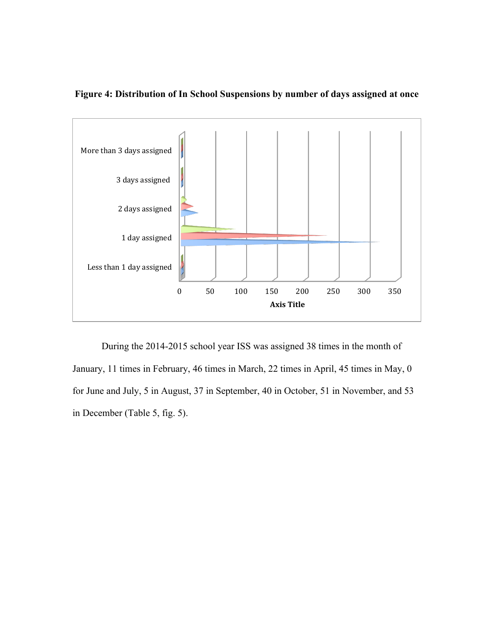

**Figure 4: Distribution of In School Suspensions by number of days assigned at once**

During the 2014-2015 school year ISS was assigned 38 times in the month of January, 11 times in February, 46 times in March, 22 times in April, 45 times in May, 0 for June and July, 5 in August, 37 in September, 40 in October, 51 in November, and 53 in December (Table 5, fig. 5).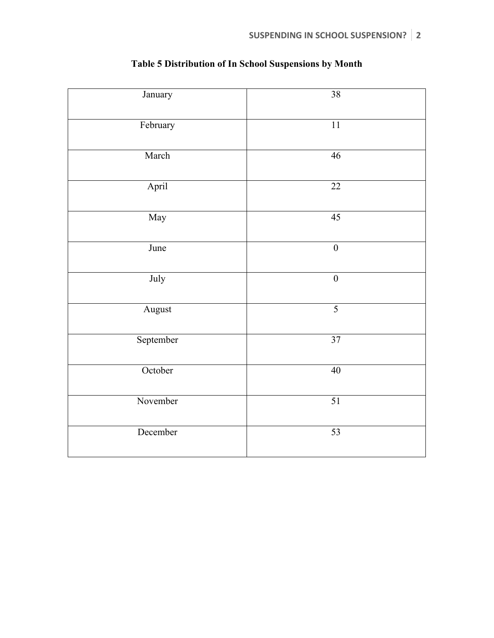| January   | $\overline{38}$  |
|-----------|------------------|
| February  | $\overline{11}$  |
| March     | 46               |
| April     | $\overline{22}$  |
| May       | 45               |
| June      | $\boldsymbol{0}$ |
| July      | $\boldsymbol{0}$ |
| August    | $\overline{5}$   |
| September | 37               |
| October   | 40               |
| November  | $\overline{51}$  |
| December  | $\overline{53}$  |

# **Table 5 Distribution of In School Suspensions by Month**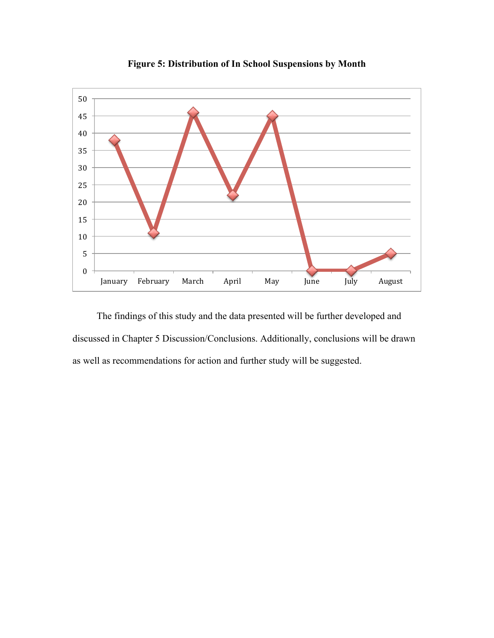

**Figure 5: Distribution of In School Suspensions by Month**

 The findings of this study and the data presented will be further developed and discussed in Chapter 5 Discussion/Conclusions. Additionally, conclusions will be drawn as well as recommendations for action and further study will be suggested.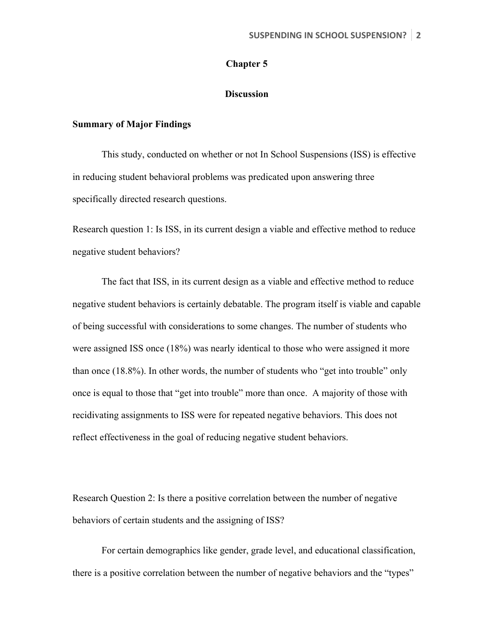## **Chapter 5**

## **Discussion**

## **Summary of Major Findings**

This study, conducted on whether or not In School Suspensions (ISS) is effective in reducing student behavioral problems was predicated upon answering three specifically directed research questions.

Research question 1: Is ISS, in its current design a viable and effective method to reduce negative student behaviors?

The fact that ISS, in its current design as a viable and effective method to reduce negative student behaviors is certainly debatable. The program itself is viable and capable of being successful with considerations to some changes. The number of students who were assigned ISS once (18%) was nearly identical to those who were assigned it more than once (18.8%). In other words, the number of students who "get into trouble" only once is equal to those that "get into trouble" more than once. A majority of those with recidivating assignments to ISS were for repeated negative behaviors. This does not reflect effectiveness in the goal of reducing negative student behaviors.

Research Question 2: Is there a positive correlation between the number of negative behaviors of certain students and the assigning of ISS?

For certain demographics like gender, grade level, and educational classification, there is a positive correlation between the number of negative behaviors and the "types"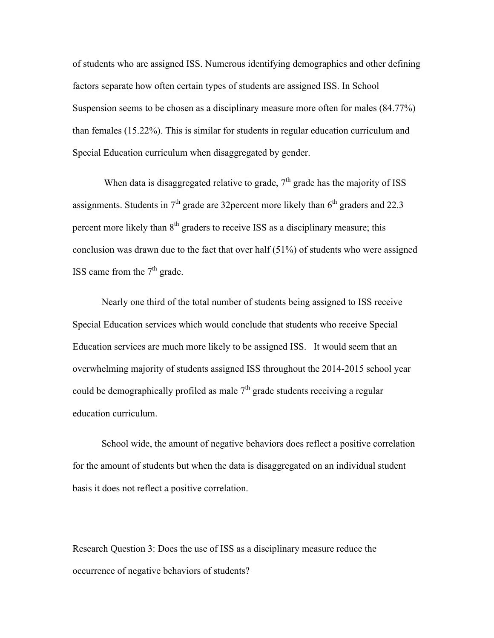of students who are assigned ISS. Numerous identifying demographics and other defining factors separate how often certain types of students are assigned ISS. In School Suspension seems to be chosen as a disciplinary measure more often for males (84.77%) than females (15.22%). This is similar for students in regular education curriculum and Special Education curriculum when disaggregated by gender.

When data is disaggregated relative to grade,  $7<sup>th</sup>$  grade has the majority of ISS assignments. Students in  $7<sup>th</sup>$  grade are 32 percent more likely than  $6<sup>th</sup>$  graders and 22.3 percent more likely than  $8<sup>th</sup>$  graders to receive ISS as a disciplinary measure; this conclusion was drawn due to the fact that over half (51%) of students who were assigned ISS came from the  $7<sup>th</sup>$  grade.

Nearly one third of the total number of students being assigned to ISS receive Special Education services which would conclude that students who receive Special Education services are much more likely to be assigned ISS. It would seem that an overwhelming majority of students assigned ISS throughout the 2014-2015 school year could be demographically profiled as male  $7<sup>th</sup>$  grade students receiving a regular education curriculum.

School wide, the amount of negative behaviors does reflect a positive correlation for the amount of students but when the data is disaggregated on an individual student basis it does not reflect a positive correlation.

Research Question 3: Does the use of ISS as a disciplinary measure reduce the occurrence of negative behaviors of students?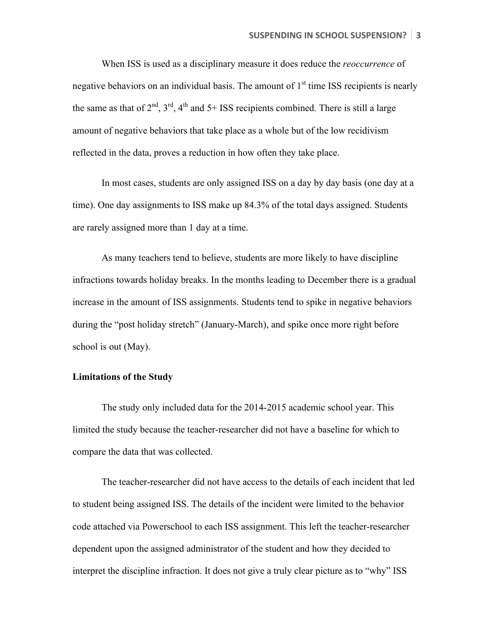When ISS is used as a disciplinary measure it does reduce the *reoccurrence* of negative behaviors on an individual basis. The amount of  $1<sup>st</sup>$  time ISS recipients is nearly the same as that of  $2^{nd}$ ,  $3^{rd}$ ,  $4^{th}$  and  $5+$  ISS recipients combined. There is still a large amount of negative behaviors that take place as a whole but of the low recidivism reflected in the data, proves a reduction in how often they take place.

In most cases, students are only assigned ISS on a day by day basis (one day at a time). One day assignments to ISS make up 84.3% of the total days assigned. Students are rarely assigned more than 1 day at a time.

As many teachers tend to believe, students are more likely to have discipline infractions towards holiday breaks. In the months leading to December there is a gradual increase in the amount of ISS assignments. Students tend to spike in negative behaviors during the "post holiday stretch" (January-March), and spike once more right before school is out (May).

## **Limitations of the Study**

The study only included data for the 2014-2015 academic school year. This limited the study because the teacher-researcher did not have a baseline for which to compare the data that was collected.

The teacher-researcher did not have access to the details of each incident that led to student being assigned ISS. The details of the incident were limited to the behavior code attached via Powerschool to each ISS assignment. This left the teacher-researcher dependent upon the assigned administrator of the student and how they decided to interpret the discipline infraction. It does not give a truly clear picture as to "why" ISS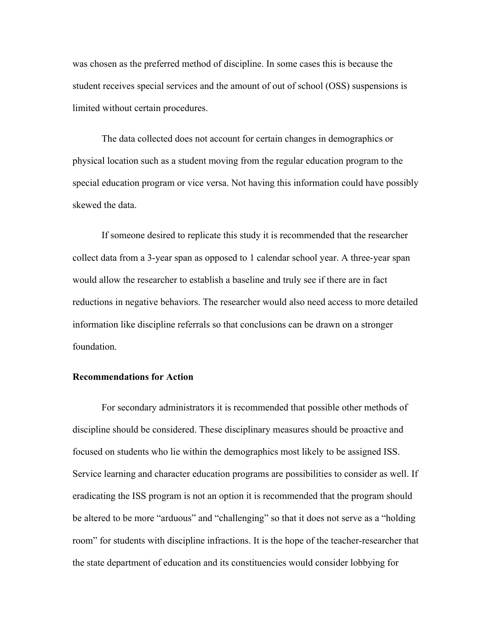was chosen as the preferred method of discipline. In some cases this is because the student receives special services and the amount of out of school (OSS) suspensions is limited without certain procedures.

The data collected does not account for certain changes in demographics or physical location such as a student moving from the regular education program to the special education program or vice versa. Not having this information could have possibly skewed the data.

If someone desired to replicate this study it is recommended that the researcher collect data from a 3-year span as opposed to 1 calendar school year. A three-year span would allow the researcher to establish a baseline and truly see if there are in fact reductions in negative behaviors. The researcher would also need access to more detailed information like discipline referrals so that conclusions can be drawn on a stronger foundation.

## **Recommendations for Action**

For secondary administrators it is recommended that possible other methods of discipline should be considered. These disciplinary measures should be proactive and focused on students who lie within the demographics most likely to be assigned ISS. Service learning and character education programs are possibilities to consider as well. If eradicating the ISS program is not an option it is recommended that the program should be altered to be more "arduous" and "challenging" so that it does not serve as a "holding room" for students with discipline infractions. It is the hope of the teacher-researcher that the state department of education and its constituencies would consider lobbying for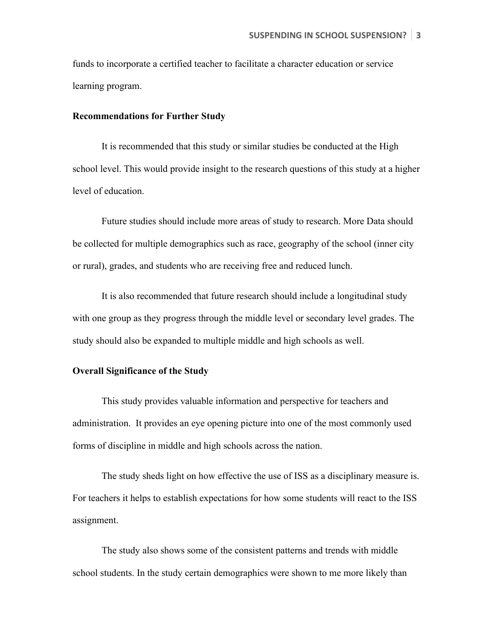funds to incorporate a certified teacher to facilitate a character education or service learning program.

#### **Recommendations for Further Study**

It is recommended that this study or similar studies be conducted at the High school level. This would provide insight to the research questions of this study at a higher level of education.

Future studies should include more areas of study to research. More Data should be collected for multiple demographics such as race, geography of the school (inner city or rural), grades, and students who are receiving free and reduced lunch.

It is also recommended that future research should include a longitudinal study with one group as they progress through the middle level or secondary level grades. The study should also be expanded to multiple middle and high schools as well.

## **Overall Significance of the Study**

This study provides valuable information and perspective for teachers and administration. It provides an eye opening picture into one of the most commonly used forms of discipline in middle and high schools across the nation.

The study sheds light on how effective the use of ISS as a disciplinary measure is. For teachers it helps to establish expectations for how some students will react to the ISS assignment.

The study also shows some of the consistent patterns and trends with middle school students. In the study certain demographics were shown to me more likely than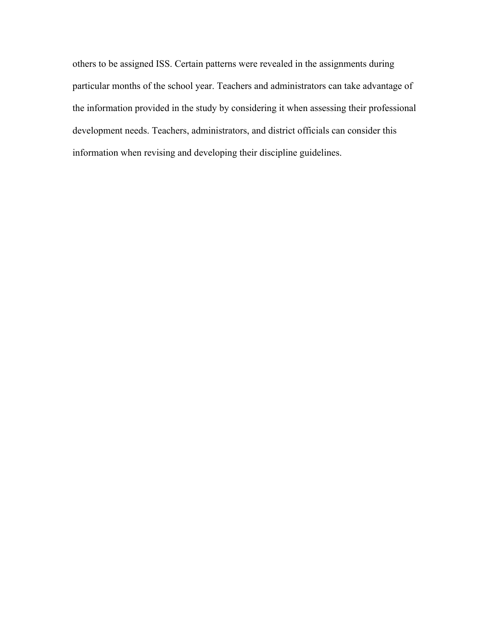others to be assigned ISS. Certain patterns were revealed in the assignments during particular months of the school year. Teachers and administrators can take advantage of the information provided in the study by considering it when assessing their professional development needs. Teachers, administrators, and district officials can consider this information when revising and developing their discipline guidelines.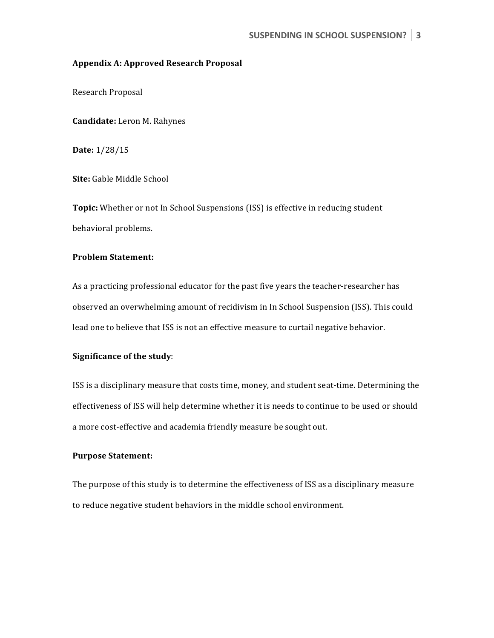#### **Appendix A: Approved Research Proposal**

Research Proposal

**Candidate:** Leron M. Rahynes

**Date:** 1/28/15

**Site:** Gable Middle School

**Topic:** Whether or not In School Suspensions (ISS) is effective in reducing student behavioral problems.

## **Problem Statement:**

As a practicing professional educator for the past five years the teacher-researcher has observed an overwhelming amount of recidivism in In School Suspension (ISS). This could lead one to believe that ISS is not an effective measure to curtail negative behavior.

### **Significance of the study:**

ISS is a disciplinary measure that costs time, money, and student seat-time. Determining the effectiveness of ISS will help determine whether it is needs to continue to be used or should a more cost-effective and academia friendly measure be sought out.

#### **Purpose Statement:**

The purpose of this study is to determine the effectiveness of ISS as a disciplinary measure to reduce negative student behaviors in the middle school environment.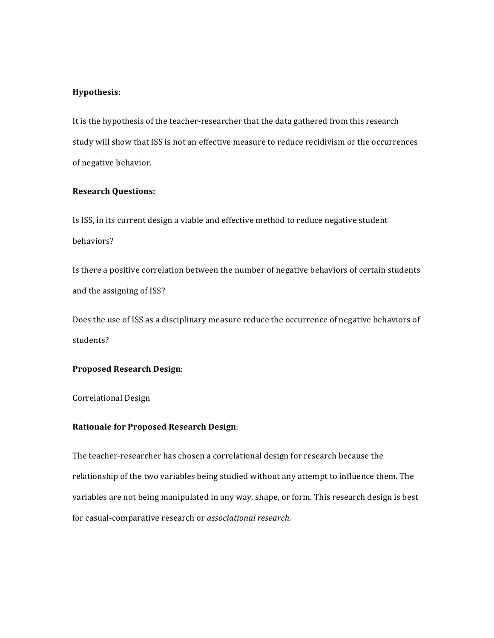#### **Hypothesis:**

It is the hypothesis of the teacher-researcher that the data gathered from this research study will show that ISS is not an effective measure to reduce recidivism or the occurrences of negative behavior.

## **Research Questions:**

Is ISS, in its current design a viable and effective method to reduce negative student behaviors?

Is there a positive correlation between the number of negative behaviors of certain students and the assigning of ISS?

Does the use of ISS as a disciplinary measure reduce the occurrence of negative behaviors of students?

#### **Proposed Research Design**:

Correlational Design

### **Rationale for Proposed Research Design:**

The teacher-researcher has chosen a correlational design for research because the relationship of the two variables being studied without any attempt to influence them. The variables are not being manipulated in any way, shape, or form. This research design is best for casual-comparative research or *associational research.*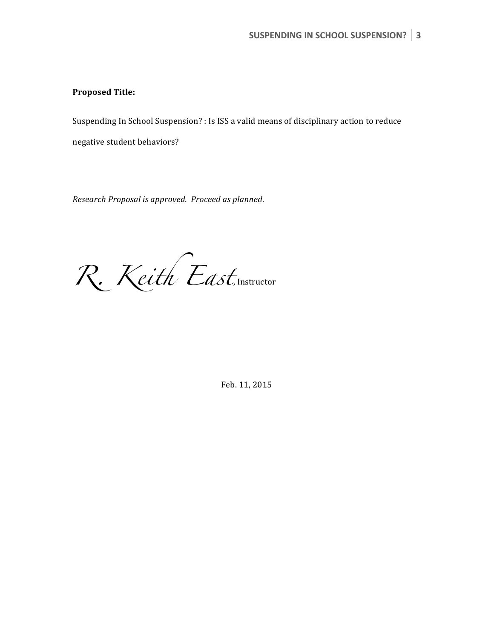## **Proposed Title:**

Suspending In School Suspension? : Is ISS a valid means of disciplinary action to reduce

negative student behaviors?

*Research Proposal is approved. Proceed as planned*.

R. Keith East, Instructor

Feb. 11, 2015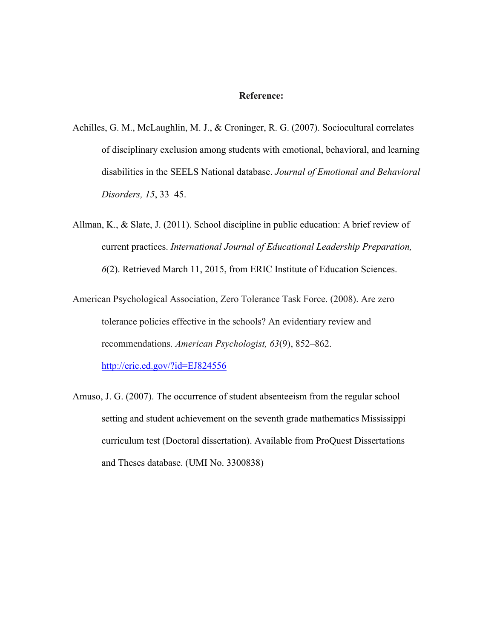#### **Reference:**

- Achilles, G. M., McLaughlin, M. J., & Croninger, R. G. (2007). Sociocultural correlates of disciplinary exclusion among students with emotional, behavioral, and learning disabilities in the SEELS National database. *Journal of Emotional and Behavioral Disorders, 15*, 33–45.
- Allman, K., & Slate, J. (2011). School discipline in public education: A brief review of current practices. *International Journal of Educational Leadership Preparation, 6*(2). Retrieved March 11, 2015, from ERIC Institute of Education Sciences.
- American Psychological Association, Zero Tolerance Task Force. (2008). Are zero tolerance policies effective in the schools? An evidentiary review and recommendations. *American Psychologist, 63*(9), 852–862.

http://eric.ed.gov/?id=EJ824556

Amuso, J. G. (2007). The occurrence of student absenteeism from the regular school setting and student achievement on the seventh grade mathematics Mississippi curriculum test (Doctoral dissertation). Available from ProQuest Dissertations and Theses database. (UMI No. 3300838)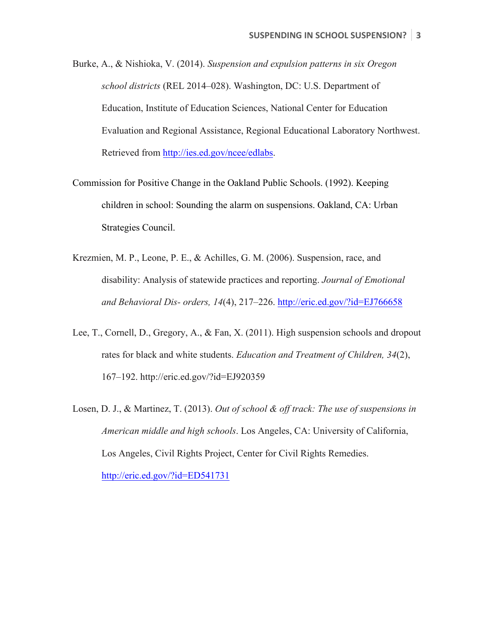- Burke, A., & Nishioka, V. (2014). *Suspension and expulsion patterns in six Oregon school districts* (REL 2014–028). Washington, DC: U.S. Department of Education, Institute of Education Sciences, National Center for Education Evaluation and Regional Assistance, Regional Educational Laboratory Northwest. Retrieved from http://ies.ed.gov/ncee/edlabs.
- Commission for Positive Change in the Oakland Public Schools. (1992). Keeping children in school: Sounding the alarm on suspensions. Oakland, CA: Urban Strategies Council.
- Krezmien, M. P., Leone, P. E., & Achilles, G. M. (2006). Suspension, race, and disability: Analysis of statewide practices and reporting. *Journal of Emotional and Behavioral Dis- orders, 14*(4), 217–226. http://eric.ed.gov/?id=EJ766658
- Lee, T., Cornell, D., Gregory, A., & Fan, X. (2011). High suspension schools and dropout rates for black and white students. *Education and Treatment of Children, 34*(2), 167–192. http://eric.ed.gov/?id=EJ920359
- Losen, D. J., & Martinez, T. (2013). *Out of school & off track: The use of suspensions in American middle and high schools*. Los Angeles, CA: University of California, Los Angeles, Civil Rights Project, Center for Civil Rights Remedies. http://eric.ed.gov/?id=ED541731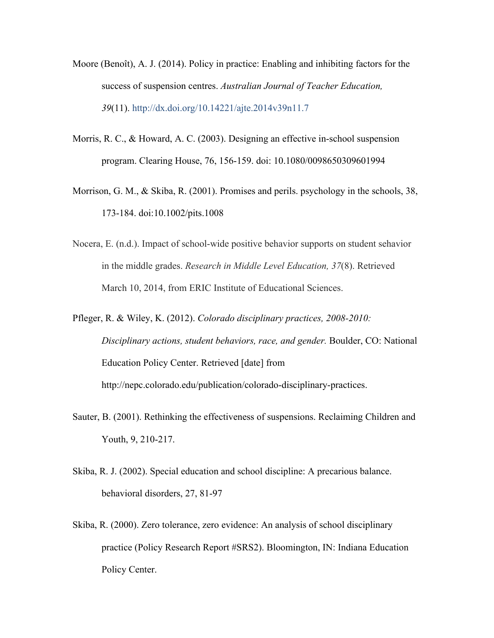- Moore (Benoît), A. J. (2014). Policy in practice: Enabling and inhibiting factors for the success of suspension centres. *Australian Journal of Teacher Education, 39*(11). http://dx.doi.org/10.14221/ajte.2014v39n11.7
- Morris, R. C., & Howard, A. C. (2003). Designing an effective in-school suspension program. Clearing House, 76, 156-159. doi: 10.1080/0098650309601994
- Morrison, G. M., & Skiba, R. (2001). Promises and perils. psychology in the schools, 38, 173-184. doi:10.1002/pits.1008
- Nocera, E. (n.d.). Impact of school-wide positive behavior supports on student sehavior in the middle grades. *Research in Middle Level Education, 37*(8). Retrieved March 10, 2014, from ERIC Institute of Educational Sciences.
- Pfleger, R. & Wiley, K. (2012). *Colorado disciplinary practices, 2008-2010: Disciplinary actions, student behaviors, race, and gender.* Boulder, CO: National Education Policy Center. Retrieved [date] from http://nepc.colorado.edu/publication/colorado-disciplinary-practices.
- Sauter, B. (2001). Rethinking the effectiveness of suspensions. Reclaiming Children and Youth, 9, 210-217.
- Skiba, R. J. (2002). Special education and school discipline: A precarious balance. behavioral disorders, 27, 81-97
- Skiba, R. (2000). Zero tolerance, zero evidence: An analysis of school disciplinary practice (Policy Research Report #SRS2). Bloomington, IN: Indiana Education Policy Center.